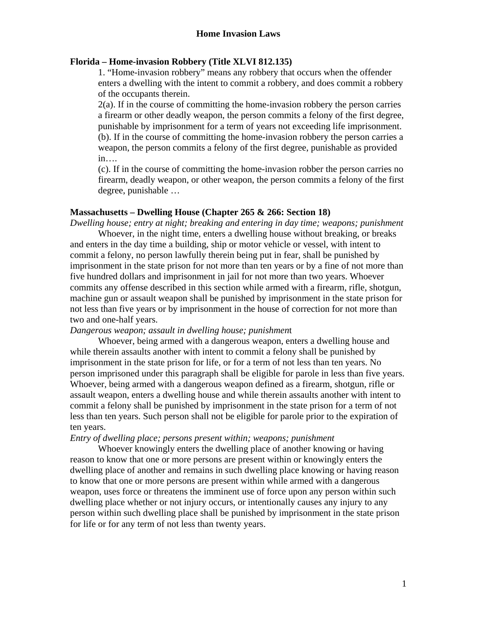# **Home Invasion Laws**

## **Florida – Home-invasion Robbery (Title XLVI 812.135)**

1. "Home-invasion robbery" means any robbery that occurs when the offender enters a dwelling with the intent to commit a robbery, and does commit a robbery of the occupants therein.

2(a). If in the course of committing the home-invasion robbery the person carries a firearm or other deadly weapon, the person commits a felony of the first degree, punishable by imprisonment for a term of years not exceeding life imprisonment. (b). If in the course of committing the home-invasion robbery the person carries a weapon, the person commits a felony of the first degree, punishable as provided in….

(c). If in the course of committing the home-invasion robber the person carries no firearm, deadly weapon, or other weapon, the person commits a felony of the first degree, punishable …

#### **Massachusetts – Dwelling House (Chapter 265 & 266: Section 18)**

*Dwelling house; entry at night; breaking and entering in day time; weapons; punishment* 

Whoever, in the night time, enters a dwelling house without breaking, or breaks and enters in the day time a building, ship or motor vehicle or vessel, with intent to commit a felony, no person lawfully therein being put in fear, shall be punished by imprisonment in the state prison for not more than ten years or by a fine of not more than five hundred dollars and imprisonment in jail for not more than two years. Whoever commits any offense described in this section while armed with a firearm, rifle, shotgun, machine gun or assault weapon shall be punished by imprisonment in the state prison for not less than five years or by imprisonment in the house of correction for not more than two and one-half years.

## *Dangerous weapon; assault in dwelling house; punishmen*t

Whoever, being armed with a dangerous weapon, enters a dwelling house and while therein assaults another with intent to commit a felony shall be punished by imprisonment in the state prison for life, or for a term of not less than ten years. No person imprisoned under this paragraph shall be eligible for parole in less than five years. Whoever, being armed with a dangerous weapon defined as a firearm, shotgun, rifle or assault weapon, enters a dwelling house and while therein assaults another with intent to commit a felony shall be punished by imprisonment in the state prison for a term of not less than ten years. Such person shall not be eligible for parole prior to the expiration of ten years.

#### *Entry of dwelling place; persons present within; weapons; punishment*

Whoever knowingly enters the dwelling place of another knowing or having reason to know that one or more persons are present within or knowingly enters the dwelling place of another and remains in such dwelling place knowing or having reason to know that one or more persons are present within while armed with a dangerous weapon, uses force or threatens the imminent use of force upon any person within such dwelling place whether or not injury occurs, or intentionally causes any injury to any person within such dwelling place shall be punished by imprisonment in the state prison for life or for any term of not less than twenty years.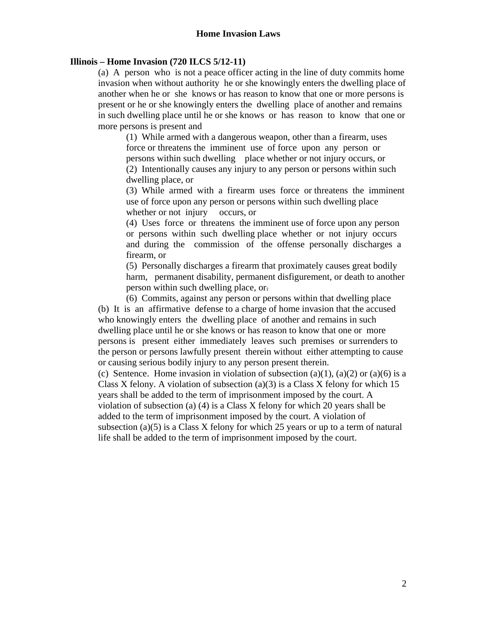## **Illinois – Home Invasion (720 ILCS 5/12-11)**

(a) A person who is not a peace officer acting in the line of duty commits home invasion when without authority he or she knowingly enters the dwelling place of another when he or she knows or has reason to know that one or more persons is present or he or she knowingly enters the dwelling place of another and remains in such dwelling place until he or she knows or has reason to know that one or more persons is present and

(1) While armed with a dangerous weapon, other than a firearm, uses force or threatens the imminent use of force upon any person or persons within such dwelling place whether or not injury occurs, or (2) Intentionally causes any injury to any person or persons within such dwelling place, or

(3) While armed with a firearm uses force or threatens the imminent use of force upon any person or persons within such dwelling place whether or not injury occurs, or

(4) Uses force or threatens the imminent use of force upon any person or persons within such dwelling place whether or not injury occurs and during the commission of the offense personally discharges a firearm, or

(5) Personally discharges a firearm that proximately causes great bodily harm, permanent disability, permanent disfigurement, or death to another person within such dwelling place, or.

(6) Commits, against any person or persons within that dwelling place (b) It is an affirmative defense to a charge of home invasion that the accused who knowingly enters the dwelling place of another and remains in such dwelling place until he or she knows or has reason to know that one or more persons is present either immediately leaves such premises or surrenders to the person or persons lawfully present therein without either attempting to cause or causing serious bodily injury to any person present therein.

(c) Sentence. Home invasion in violation of subsection (a)(1), (a)(2) or (a)(6) is a Class X felony. A violation of subsection (a)(3) is a Class X felony for which 15 years shall be added to the term of imprisonment imposed by the court. A violation of subsection (a) (4) is a Class X felony for which 20 years shall be added to the term of imprisonment imposed by the court. A violation of subsection (a) $(5)$  is a Class X felony for which 25 years or up to a term of natural life shall be added to the term of imprisonment imposed by the court.